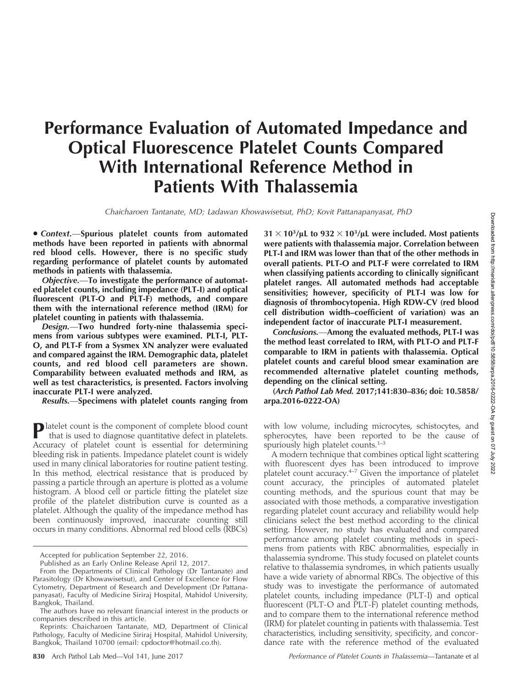# Performance Evaluation of Automated Impedance and Optical Fluorescence Platelet Counts Compared With International Reference Method in Patients With Thalassemia

Chaicharoen Tantanate, MD; Ladawan Khowawisetsut, PhD; Kovit Pattanapanyasat, PhD

· Context.-Spurious platelet counts from automated methods have been reported in patients with abnormal red blood cells. However, there is no specific study regarding performance of platelet counts by automated methods in patients with thalassemia.

Objective.—To investigate the performance of automated platelet counts, including impedance (PLT-I) and optical fluorescent (PLT-O and PLT-F) methods, and compare them with the international reference method (IRM) for platelet counting in patients with thalassemia.

Design.—Two hundred forty-nine thalassemia specimens from various subtypes were examined. PLT-I, PLT-O, and PLT-F from a Sysmex XN analyzer were evaluated and compared against the IRM. Demographic data, platelet counts, and red blood cell parameters are shown. Comparability between evaluated methods and IRM, as well as test characteristics, is presented. Factors involving inaccurate PLT-I were analyzed.

Results.—Specimens with platelet counts ranging from

Platelet count is the component of complete blood count that is used to diagnose quantitative defect in platelets. Accuracy of platelet count is essential for determining bleeding risk in patients. Impedance platelet count is widely used in many clinical laboratories for routine patient testing. In this method, electrical resistance that is produced by passing a particle through an aperture is plotted as a volume histogram. A blood cell or particle fitting the platelet size profile of the platelet distribution curve is counted as a platelet. Although the quality of the impedance method has been continuously improved, inaccurate counting still occurs in many conditions. Abnormal red blood cells (RBCs)

 $31 \times 10^3$ /µL to  $932 \times 10^3$ /µL were included. Most patients were patients with thalassemia major. Correlation between PLT-I and IRM was lower than that of the other methods in overall patients. PLT-O and PLT-F were correlated to IRM when classifying patients according to clinically significant platelet ranges. All automated methods had acceptable sensitivities; however, specificity of PLT-I was low for diagnosis of thrombocytopenia. High RDW-CV (red blood cell distribution width–coefficient of variation) was an independent factor of inaccurate PLT-I measurement.

Conclusions.—Among the evaluated methods, PLT-I was the method least correlated to IRM, with PLT-O and PLT-F comparable to IRM in patients with thalassemia. Optical platelet counts and careful blood smear examination are recommended alternative platelet counting methods, depending on the clinical setting.

(Arch Pathol Lab Med. 2017;141:830–836; doi: 10.5858/ arpa.2016-0222-OA)

with low volume, including microcytes, schistocytes, and spherocytes, have been reported to be the cause of spuriously high platelet counts. $1-3$ 

A modern technique that combines optical light scattering with fluorescent dyes has been introduced to improve platelet count accuracy. $4-7$  Given the importance of platelet count accuracy, the principles of automated platelet counting methods, and the spurious count that may be associated with those methods, a comparative investigation regarding platelet count accuracy and reliability would help clinicians select the best method according to the clinical setting. However, no study has evaluated and compared performance among platelet counting methods in specimens from patients with RBC abnormalities, especially in thalassemia syndrome. This study focused on platelet counts relative to thalassemia syndromes, in which patients usually have a wide variety of abnormal RBCs. The objective of this study was to investigate the performance of automated platelet counts, including impedance (PLT-I) and optical fluorescent (PLT-O and PLT-F) platelet counting methods, and to compare them to the international reference method (IRM) for platelet counting in patients with thalassemia. Test characteristics, including sensitivity, specificity, and concordance rate with the reference method of the evaluated

Accepted for publication September 22, 2016.

Published as an Early Online Release April 12, 2017.

From the Departments of Clinical Pathology (Dr Tantanate) and Parasitology (Dr Khowawisetsut), and Center of Excellence for Flow Cytometry, Department of Research and Development (Dr Pattanapanyasat), Faculty of Medicine Siriraj Hospital, Mahidol University, Bangkok, Thailand.

The authors have no relevant financial interest in the products or companies described in this article.

Reprints: Chaicharoen Tantanate, MD, Department of Clinical Pathology, Faculty of Medicine Siriraj Hospital, Mahidol University, Bangkok, Thailand 10700 (email: [cpdoctor@hotmail.co.th\)](mailto:cpdoctor@hotmail.co.th).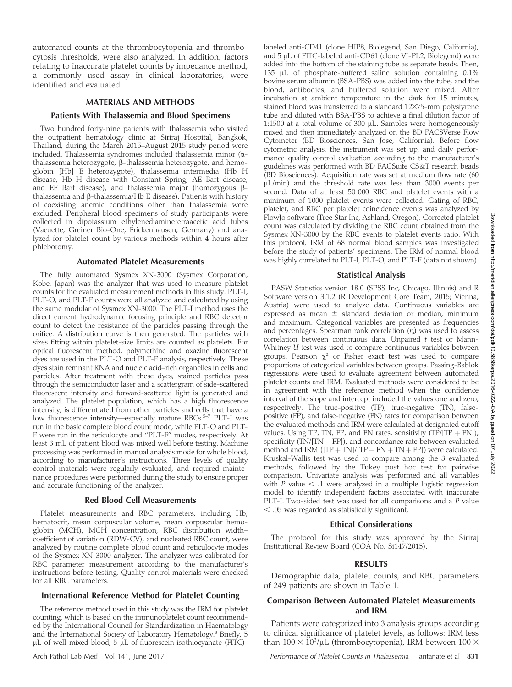automated counts at the thrombocytopenia and thrombocytosis thresholds, were also analyzed. In addition, factors relating to inaccurate platelet counts by impedance method, a commonly used assay in clinical laboratories, were identified and evaluated.

## MATERIALS AND METHODS

#### Patients With Thalassemia and Blood Specimens

Two hundred forty-nine patients with thalassemia who visited the outpatient hematology clinic at Siriraj Hospital, Bangkok, Thailand, during the March 2015–August 2015 study period were included. Thalassemia syndromes included thalassemia minor (athalassemia heterozygote, β-thalassemia heterozygote, and hemoglobin [Hb] E heterozygote), thalassemia intermedia (Hb H disease, Hb H disease with Constant Spring, AE Bart disease, and EF Bart disease), and thalassemia major (homozygous  $\beta$ thalassemia and  $\beta$ -thalassemia/Hb E disease). Patients with history of coexisting anemic conditions other than thalassemia were excluded. Peripheral blood specimens of study participants were collected in dipotassium ethylenediaminetetraacetic acid tubes (Vacuette, Greiner Bio-One, Frickenhausen, Germany) and analyzed for platelet count by various methods within 4 hours after phlebotomy.

#### Automated Platelet Measurements

The fully automated Sysmex XN-3000 (Sysmex Corporation, Kobe, Japan) was the analyzer that was used to measure platelet counts for the evaluated measurement methods in this study. PLT-I, PLT-O, and PLT-F counts were all analyzed and calculated by using the same modular of Sysmex XN-3000. The PLT-I method uses the direct current hydrodynamic focusing principle and RBC detector count to detect the resistance of the particles passing through the orifice. A distribution curve is then generated. The particles with sizes fitting within platelet-size limits are counted as platelets. For optical fluorescent method, polymethine and oxazine fluorescent dyes are used in the PLT-O and PLT-F analysis, respectively. These dyes stain remnant RNA and nucleic acid–rich organelles in cells and particles. After treatment with these dyes, stained particles pass through the semiconductor laser and a scattergram of side-scattered fluorescent intensity and forward-scattered light is generated and analyzed. The platelet population, which has a high fluorescence intensity, is differentiated from other particles and cells that have a low fluorescence intensity—especially mature RBCs.<sup>5-7</sup> PLT-I was run in the basic complete blood count mode, while PLT-O and PLT-F were run in the reticulocyte and ''PLT-F'' modes, respectively. At least 3 mL of patient blood was mixed well before testing. Machine processing was performed in manual analysis mode for whole blood, according to manufacturer's instructions. Three levels of quality control materials were regularly evaluated, and required maintenance procedures were performed during the study to ensure proper and accurate functioning of the analyzer.

#### Red Blood Cell Measurements

Platelet measurements and RBC parameters, including Hb, hematocrit, mean corpuscular volume, mean corpuscular hemoglobin (MCH), MCH concentration, RBC distribution width– coefficient of variation (RDW-CV), and nucleated RBC count, were analyzed by routine complete blood count and reticulocyte modes of the Sysmex XN-3000 analyzer. The analyzer was calibrated for RBC parameter measurement according to the manufacturer's instructions before testing. Quality control materials were checked for all RBC parameters.

#### International Reference Method for Platelet Counting

The reference method used in this study was the IRM for platelet counting, which is based on the immunoplatelet count recommended by the International Council for Standardization in Haematology and the International Society of Laboratory Hematology.<sup>8</sup> Briefly, 5  $\mu$ L of well-mixed blood, 5  $\mu$ L of fluorescein isothiocyanate (FITC)-

labeled anti-CD41 (clone HIP8, Biolegend, San Diego, California), and 5 µL of FITC-labeled anti-CD61 (clone VI-PL2, Biolegend) were added into the bottom of the staining tube as separate beads. Then, 135  $\mu$ L of phosphate-buffered saline solution containing 0.1% bovine serum albumin (BSA-PBS) was added into the tube, and the blood, antibodies, and buffered solution were mixed. After incubation at ambient temperature in the dark for 15 minutes, stained blood was transferred to a standard 12×75-mm polystyrene tube and diluted with BSA-PBS to achieve a final dilution factor of 1:1500 at a total volume of  $300 \mu L$ . Samples were homogeneously mixed and then immediately analyzed on the BD FACSVerse Flow Cytometer (BD Biosciences, San Jose, California). Before flow cytometric analysis, the instrument was set up, and daily performance quality control evaluation according to the manufacturer's guidelines was performed with BD FACSuite CS&T research beads (BD Biosciences). Acquisition rate was set at medium flow rate (60 lL/min) and the threshold rate was less than 3000 events per second. Data of at least 50 000 RBC and platelet events with a minimum of 1000 platelet events were collected. Gating of RBC, platelet, and RBC per platelet coincidence events was analyzed by FlowJo software (Tree Star Inc, Ashland, Oregon). Corrected platelet count was calculated by dividing the RBC count obtained from the Sysmex XN-3000 by the RBC events to platelet events ratio. With this protocol, IRM of 68 normal blood samples was investigated before the study of patients' specimens. The IRM of normal blood was highly correlated to PLT-I, PLT-O, and PLT-F (data not shown).

#### Statistical Analysis

PASW Statistics version 18.0 (SPSS Inc, Chicago, Illinois) and R Software version 3.1.2 (R Development Core Team, 2015; Vienna, Austria) were used to analyze data. Continuous variables are expressed as mean  $\pm$  standard deviation or median, minimum and maximum. Categorical variables are presented as frequencies and percentages. Spearman rank correlation  $(r_s)$  was used to assess correlation between continuous data. Unpaired  $t$  test or Mann-Whitney U test was used to compare continuous variables between groups. Pearson  $\chi^2$  or Fisher exact test was used to compare proportions of categorical variables between groups. Passing-Bablok regressions were used to evaluate agreement between automated platelet counts and IRM. Evaluated methods were considered to be in agreement with the reference method when the confidence interval of the slope and intercept included the values one and zero, respectively. The true-positive (TP), true-negative (TN), falsepositive (FP), and false-negative (FN) rates for comparison between the evaluated methods and IRM were calculated at designated cutoff values. Using TP, TN, FP, and FN rates, sensitivity  $(TP/[TP + FN])$ , specificity (TN/[TN  $+$  FP]), and concordance rate between evaluated method and IRM  $([TP + TN]/[TP + FN + TN + FP])$  were calculated. Kruskal-Wallis test was used to compare among the 3 evaluated methods, followed by the Tukey post hoc test for pairwise comparison. Univariate analysis was performed and all variables with  $P$  value  $\lt$  .1 were analyzed in a multiple logistic regression model to identify independent factors associated with inaccurate PLT-I. Two-sided test was used for all comparisons and a P value  $<$  .05 was regarded as statistically significant.

#### Ethical Considerations

The protocol for this study was approved by the Siriraj Institutional Review Board (COA No. Si147/2015).

#### **RESULTS**

Demographic data, platelet counts, and RBC parameters of 249 patients are shown in Table 1.

#### Comparison Between Automated Platelet Measurements and IRM

Patients were categorized into 3 analysis groups according to clinical significance of platelet levels, as follows: IRM less than 100  $\times$  10<sup>3</sup>/µL (thrombocytopenia), IRM between 100  $\times$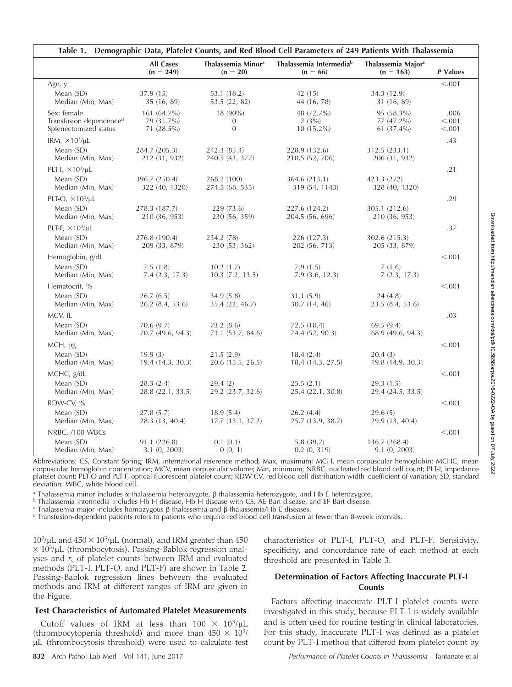| Demographic Data, Platelet Counts, and Red Blood Cell Parameters of 249 Patients With Thalassemia<br>Table 1. |                                         |                                              |                                                   |                                          |                            |
|---------------------------------------------------------------------------------------------------------------|-----------------------------------------|----------------------------------------------|---------------------------------------------------|------------------------------------------|----------------------------|
|                                                                                                               | <b>All Cases</b><br>$(n = 249)$         | Thalassemia Minor <sup>a</sup><br>$(n = 20)$ | Thalassemia Intermedia <sup>b</sup><br>$(n = 66)$ | Thalassemia Majorc<br>$(n = 163)$        | P Values                   |
| Age, y                                                                                                        |                                         |                                              |                                                   |                                          | < 0.001                    |
| Mean (SD)<br>Median (Min, Max)                                                                                | 37.9 (15)<br>35 (16, 89)                | 53.1 (18.2)<br>53.5 (22, 82)                 | 42(15)<br>44 (16, 78)                             | 34.3 (12.9)<br>31 (16, 89)               |                            |
| Sex: female<br>Transfusion dependence <sup>d</sup><br>Splenectomized status                                   | 161 (64.7%)<br>79 (31.7%)<br>71 (28.5%) | 18 (90%)<br>$\mathbf{0}$<br>$\Omega$         | 48 (72.7%)<br>$2(3\%)$<br>$10(15.2\%)$            | 95 (58.3%)<br>77 (47.2%)<br>$61(37.4\%)$ | .006<br>< 0.001<br>< 0.001 |
| IRM, $\times 10^3/\mu L$                                                                                      |                                         |                                              |                                                   |                                          | .43                        |
| Mean (SD)<br>Median (Min, Max)                                                                                | 284.7 (205.3)<br>212 (31, 932)          | 242.3 (85.4)<br>240.5 (43, 377)              | 228.9 (132.6)<br>210.5 (52, 706)                  | 312.5 (233.1)<br>206 (31, 932)           |                            |
| PLT-I, $\times 10^3/\mu L$                                                                                    |                                         |                                              |                                                   |                                          | .21                        |
| Mean (SD)<br>Median (Min, Max)                                                                                | 396.7 (250.4)<br>322 (40, 1320)         | 268.2 (100)<br>274.5 (68, 535)               | 364.6 (213.1)<br>319 (54, 1143)                   | 423.3 (272)<br>328 (40, 1320)            |                            |
| PLT-O, $\times 10^3/\mu L$                                                                                    |                                         |                                              |                                                   |                                          | .29                        |
| Mean $(SD)$<br>Median (Min, Max)                                                                              | 278.3 (187.7)<br>210 (36, 953)          | 229 (73.6)<br>230 (56, 359)                  | 227.6 (124.2)<br>204.5 (56, 696)                  | 305.1 (212.6)<br>210 (36, 953)           |                            |
| PLT-F, $\times$ 10 <sup>3</sup> /µL                                                                           |                                         |                                              |                                                   |                                          | .37                        |
| Mean (SD)<br>Median (Min, Max)                                                                                | 276.8 (190.4)<br>209 (33, 879)          | 234.2 (78)<br>230 (53, 362)                  | 226 (127.3)<br>202 (56, 713)                      | 302.6 (215.3)<br>205 (33, 879)           |                            |
| Hemoglobin, g/dL                                                                                              |                                         |                                              |                                                   |                                          | < 0.001                    |
| Mean (SD)<br>Median (Min, Max)                                                                                | 7.5(1.8)<br>7.4(2.3, 17.3)              | 10.2(1.7)<br>10.3(7.2, 13.5)                 | 7.9(1.5)<br>7.9(3.6, 12.3)                        | 7(1.6)<br>7(2.3, 17.3)                   |                            |
| Hematocrit, %                                                                                                 |                                         |                                              |                                                   |                                          | < 0.001                    |
| Mean $(SD)$<br>Median (Min, Max)                                                                              | 26.7(6.5)<br>26.2(8.4, 53.6)            | 34.9(5.8)<br>35.4 (22, 46.7)                 | 31.1(5.9)<br>30.7(14, 46)                         | 24 (4.8)<br>23.5(8.4, 53.6)              |                            |
| MCV, fL                                                                                                       |                                         |                                              |                                                   |                                          | .03                        |
| Mean (SD)<br>Median (Min, Max)                                                                                | 70.6(9.7)<br>70.7 (49.6, 94.3)          | 73.2(8.6)<br>73.1 (53.7, 84.6)               | 72.5(10.4)<br>74.4 (52, 90.3)                     | 69.5(9.4)<br>68.9 (49.6, 94.3)           |                            |
| MCH, pg                                                                                                       |                                         |                                              |                                                   |                                          | < 0.001                    |
| Mean (SD)<br>Median (Min, Max)                                                                                | 19.9(3)<br>19.4 (14.3, 30.3)            | 21.5(2.9)<br>20.6(15.5, 26.5)                | 18.4(2.4)<br>18.4 (14.3, 27.5)                    | 20.4(3)<br>19.8 (14.9, 30.3)             |                            |
| MCHC, g/dL                                                                                                    |                                         |                                              |                                                   |                                          | < 0.001                    |
| Mean $(SD)$<br>Median (Min, Max)                                                                              | 28.3(2.4)<br>28.8 (22.1, 33.5)          | 29.4(2)<br>29.2 (23.7, 32.6)                 | 25.5(2.1)<br>25.4 (22.1, 30.8)                    | 29.3(1.5)<br>29.4 (24.5, 33.5)           |                            |
| RDW-CV, %                                                                                                     |                                         |                                              |                                                   |                                          | < 0.001                    |
| Mean $(SD)$<br>Median (Min, Max)                                                                              | 27.8(5.7)<br>28.3 (13, 40.4)            | 18.9(5.4)<br>17.7 (13.1, 37.2)               | 26.2(4.4)<br>25.7 (13.9, 38.7)                    | 29.6(5)<br>29.9 (13, 40.4)               |                            |
| NRBC, /100 WBCs                                                                                               |                                         |                                              |                                                   |                                          | < 0.001                    |
| Mean (SD)<br>Median (Min, Max)                                                                                | 91.1 (226.8)<br>3.1(0, 2003)            | 0.1(0.1)<br>0(0, 1)                          | 5.8(39.2)<br>$0.2$ $(0, 319)$                     | 136.7 (268.4)<br>9.1(0, 2003)            |                            |

Abbreviations: CS, Constant Spring; IRM, international reference method; Max, maximum; MCH, mean corpuscular hemoglobin; MCHC, mean corpuscular hemoglobin concentration; MCV, mean corpuscular volume; Min, minimum; NRBC, nucleated red blood cell count; PLT-I, impedance platelet count; PLT-O and PLT-F, optical fluorescent platelet count; RDW-CV, red blood cell distribution width–coefficient of variation; SD, standard deviation; WBC, white blood cell.

<sup>a</sup> Thalassemia minor includes α-thalassemia heterozygote, β-thalassemia heterozygote, and Hb E heterozygote.<br><sup>b</sup> Thalassemia intermedia includes Hb H disease, Hb H disease with CS, AE Bart disease, and EF Bart disease.<br>

 $d$  Transfusion-dependent patients refers to patients who require red blood cell transfusion at fewer than 8-week intervals.

 $10^3/\mu$ L and  $450 \times 10^3/\mu$ L (normal), and IRM greater than  $450$  $\times 10^3/\mu$ L (thrombocytosis). Passing-Bablok regression analyses and  $r<sub>s</sub>$  of platelet counts between IRM and evaluated methods (PLT-I, PLT-O, and PLT-F) are shown in Table 2. Passing-Bablok regression lines between the evaluated methods and IRM at different ranges of IRM are given in the Figure.

## Test Characteristics of Automated Platelet Measurements

Cutoff values of IRM at less than  $100 \times 10^3/\mu L$ (thrombocytopenia threshold) and more than  $450 \times 10^{3}$ / lL (thrombocytosis threshold) were used to calculate test

characteristics of PLT-I, PLT-O, and PLT-F. Sensitivity, specificity, and concordance rate of each method at each threshold are presented in Table 3.

## Determination of Factors Affecting Inaccurate PLT-I **Counts**

Factors affecting inaccurate PLT-I platelet counts were investigated in this study, because PLT-I is widely available and is often used for routine testing in clinical laboratories. For this study, inaccurate PLT-I was defined as a platelet count by PLT-I method that differed from platelet count by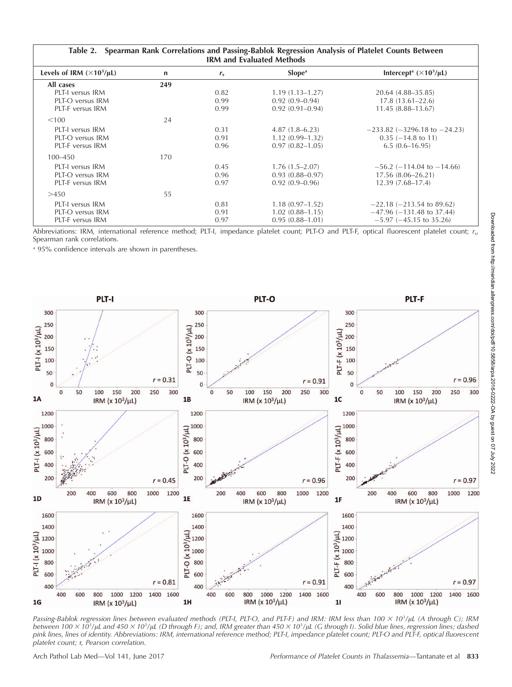| Table 2. Spearman Rank Correlations and Passing-Bablok Regression Analysis of Platelet Counts Between<br><b>IRM and Evaluated Methods</b> |     |             |                     |                                                        |
|-------------------------------------------------------------------------------------------------------------------------------------------|-----|-------------|---------------------|--------------------------------------------------------|
| Levels of IRM $(\times 10^3/\mu L)$                                                                                                       | n   | $r_{\rm s}$ | Slope <sup>a</sup>  | Intercept <sup>a</sup> ( $\times$ 10 <sup>3</sup> /µL) |
| All cases                                                                                                                                 | 249 |             |                     |                                                        |
| PLT-I versus IRM                                                                                                                          |     | 0.82        | $1.19(1.13 - 1.27)$ | 20.64 (4.88-35.85)                                     |
| PLT-O versus IRM                                                                                                                          |     | 0.99        | $0.92(0.9-0.94)$    | $17.8(13.61 - 22.6)$                                   |
| PLT-F versus IRM                                                                                                                          |     | 0.99        | $0.92(0.91 - 0.94)$ | 11.45 (8.88-13.67)                                     |
| < 100                                                                                                                                     | 24  |             |                     |                                                        |
| PLT-L versus IRM                                                                                                                          |     | 0.31        | $4.87(1.8 - 6.23)$  | $-233.82$ ( $-3296.18$ to $-24.23$ )                   |
| PLT-O versus IRM                                                                                                                          |     | 0.91        | $1.12(0.99 - 1.32)$ | $0.35$ ( $-14.8$ to 11)                                |
| PLT-F versus IRM                                                                                                                          |     | 0.96        | $0.97(0.82 - 1.05)$ | $6.5(0.6 - 16.95)$                                     |
| 100-450                                                                                                                                   | 170 |             |                     |                                                        |
| PLT-L versus IRM                                                                                                                          |     | 0.45        | $1.76(1.5-2.07)$    | $-56.2$ ( $-114.04$ to $-14.66$ )                      |
| PLT-O versus IRM                                                                                                                          |     | 0.96        | $0.93(0.88 - 0.97)$ | 17.56 (8.06-26.21)                                     |
| PLT-F versus IRM                                                                                                                          |     | 0.97        | $0.92(0.9-0.96)$    | $12.39(7.68 - 17.4)$                                   |
| >450                                                                                                                                      | 55  |             |                     |                                                        |
| PLT-L versus IRM                                                                                                                          |     | 0.81        | $1.18(0.97-1.52)$   | $-22.18$ ( $-213.54$ to 89.62)                         |
| PLT-O versus IRM                                                                                                                          |     | 0.91        | $1.02(0.88 - 1.15)$ | $-47.96$ ( $-131.48$ to 37.44)                         |
| PLT-F versus IRM                                                                                                                          |     | 0.97        | $0.95(0.88 - 1.01)$ | $-5.97$ ( $-45.15$ to 35.26)                           |

Abbreviations: IRM, international reference method; PLT-I, impedance platelet count; PLT-O and PLT-F, optical fluorescent platelet count; rs, Spearman rank correlations.

<sup>a</sup> 95% confidence intervals are shown in parentheses.



Passing-Bablok regression lines between evaluated methods (PLT-I, PLT-O, and PLT-F) and IRM: IRM less than 100  $\times$  10<sup>3</sup>/µL (A through C); IRM between 100 × 103/µL and 450 × 103/µL (D through F); and, IRM greater than 450 × 103/µL (G through I). Solid blue lines, regression lines; dashed pink lines, lines of identity. Abbreviations: IRM, international reference method; PLT-I, impedance platelet count; PLT-O and PLT-F, optical fluorescent platelet count; r, Pearson correlation.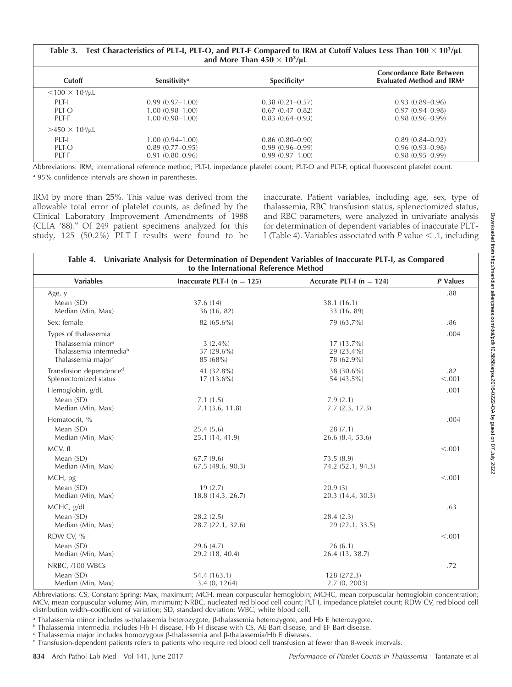## Table 3. Test Characteristics of PLT-I, PLT-O, and PLT-F Compared to IRM at Cutoff Values Less Than 100  $\times$  10<sup>3</sup>/µL and More Than 450  $\times$  10 $^3\mathrm{/}\mu\mathrm{L}$

| Cutoff                               | <b>Sensitivity</b> <sup>a</sup> | Specificity <sup>a</sup> | Concordance Rate Between<br>Evaluated Method and IRM <sup>a</sup> |
|--------------------------------------|---------------------------------|--------------------------|-------------------------------------------------------------------|
| $<$ 100 $\times$ 10 <sup>3</sup> /uL |                                 |                          |                                                                   |
| PITI                                 | $0.99(0.97-1.00)$               | $0.38(0.21 - 0.57)$      | $0.93(0.89 - 0.96)$                                               |
| $PIT-O$                              | $1.00(0.98 - 1.00)$             | $0.67(0.47-0.82)$        | $0.97(0.94 - 0.98)$                                               |
| PLT-F                                | $1.00(0.98 - 1.00)$             | $0.83(0.64 - 0.93)$      | $0.98(0.96 - 0.99)$                                               |
| $>450 \times 10^{3}/\mu L$           |                                 |                          |                                                                   |
| PITI                                 | $1.00(0.94-1.00)$               | $0.86(0.80-0.90)$        | $0.89(0.84 - 0.92)$                                               |
| PLT-O                                | $0.89(0.77-0.95)$               | $0.99(0.96 - 0.99)$      | $0.96(0.93 - 0.98)$                                               |
| PLT-F                                | $0.91(0.80 - 0.96)$             | $0.99(0.97-1.00)$        | $0.98(0.95 - 0.99)$                                               |

Abbreviations: IRM, international reference method; PLT-I, impedance platelet count; PLT-O and PLT-F, optical fluorescent platelet count. <sup>a</sup> 95% confidence intervals are shown in parentheses.

IRM by more than 25%. This value was derived from the allowable total error of platelet counts, as defined by the Clinical Laboratory Improvement Amendments of 1988 (CLIA '88).<sup>9</sup> Of 249 patient specimens analyzed for this study, 125 (50.2%) PLT-I results were found to be inaccurate. Patient variables, including age, sex, type of thalassemia, RBC transfusion status, splenectomized status, and RBC parameters, were analyzed in univariate analysis for determination of dependent variables of inaccurate PLT-I (Table 4). Variables associated with  $P$  value  $\lt$  .1, including

| Table 4. Univariate Analysis for Determination of Dependent Variables of Inaccurate PLT-I, as Compared<br>to the International Reference Method |                                        |                                          |               |  |
|-------------------------------------------------------------------------------------------------------------------------------------------------|----------------------------------------|------------------------------------------|---------------|--|
| <b>Variables</b>                                                                                                                                | Inaccurate PLT-I ( $n = 125$ )         | Accurate PLT-I ( $n = 124$ )             | P Values      |  |
| Age, y<br>Mean (SD)<br>Median (Min, Max)                                                                                                        | 37.6(14)<br>36(16, 82)                 | 38.1 (16.1)<br>33 (16, 89)               | .88           |  |
| Sex: female                                                                                                                                     | 82 (65.6%)                             | 79 (63.7%)                               | .86           |  |
| Types of thalassemia                                                                                                                            |                                        |                                          | .004          |  |
| Thalassemia minor <sup>a</sup><br>Thalassemia intermedia <sup>b</sup><br>Thalassemia majorc                                                     | $3(2.4\%)$<br>$37(29.6\%)$<br>85 (68%) | $17(13.7\%)$<br>29 (23.4%)<br>78 (62.9%) |               |  |
| Transfusion dependence <sup>d</sup><br>Splenectomized status                                                                                    | 41 (32.8%)<br>$17(13.6\%)$             | 38 (30.6%)<br>54 (43.5%)                 | .82<br>< .001 |  |
| Hemoglobin, g/dL<br>Mean (SD)<br>Median (Min, Max)                                                                                              | 7.1(1.5)<br>$7.1$ $(3.6, 11.8)$        | 7.9(2.1)<br>7.7(2.3, 17.3)               | .001          |  |
| Hematocrit, %<br>Mean (SD)<br>Median (Min, Max)                                                                                                 | 25.4(5.6)<br>25.1 (14, 41.9)           | 28(7.1)<br>26.6(8.4, 53.6)               | .004          |  |
| MCV, fL<br>Mean (SD)<br>Median (Min, Max)                                                                                                       | 67.7(9.6)<br>67.5(49.6, 90.3)          | 73.5(8.9)<br>74.2 (52.1, 94.3)           | < 0.001       |  |
| MCH, pg<br>Mean (SD)<br>Median (Min, Max)                                                                                                       | 19(2.7)<br>18.8 (14.3, 26.7)           | 20.9(3)<br>20.3 (14.4, 30.3)             | < 0.001       |  |
| MCHC, g/dL<br>Mean (SD)<br>Median (Min, Max)                                                                                                    | 28.2(2.5)<br>28.7 (22.1, 32.6)         | 28.4(2.3)<br>29 (22.1, 33.5)             | .63           |  |
| RDW-CV, %<br>Mean (SD)<br>Median (Min, Max)                                                                                                     | 29.6(4.7)<br>29.2 (18, 40.4)           | 26(6.1)<br>26.4 (13, 38.7)               | < 0.001       |  |
| NRBC, /100 WBCs                                                                                                                                 |                                        |                                          | .72           |  |
| Mean (SD)<br>Median (Min, Max)                                                                                                                  | 54.4 (163.1)<br>3.4(0, 1264)           | 128 (272.3)<br>2.7(0, 2003)              |               |  |

Abbreviations: CS, Constant Spring; Max, maximum; MCH, mean corpuscular hemoglobin; MCHC, mean corpuscular hemoglobin concentration; MCV, mean corpuscular volume; Min, minimum; NRBC, nucleated red blood cell count; PLT-I, impedance platelet count; RDW-CV, red blood cell distribution width–coefficient of variation; SD, standard deviation; WBC, white blood cell.

<sup>a</sup> Thalassemia minor includes  $\alpha$ -thalassemia heterozygote,  $\beta$ -thalassemia heterozygote, and Hb E heterozygote.<br><sup>b</sup> Thalassemia intermedia includes Hb H disease, Hb H disease with CS, AE Bart disease, and EF Bart dise

<sup>d</sup> Transfusion-dependent patients refers to patients who require red blood cell transfusion at fewer than 8-week intervals.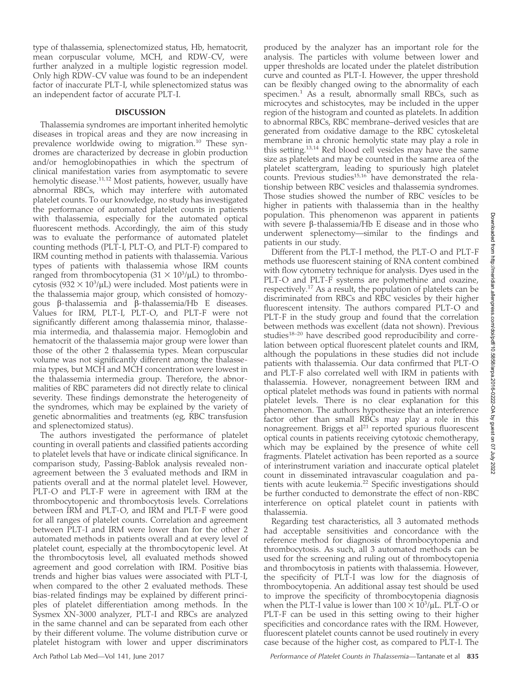type of thalassemia, splenectomized status, Hb, hematocrit, mean corpuscular volume, MCH, and RDW-CV, were further analyzed in a multiple logistic regression model. Only high RDW-CV value was found to be an independent factor of inaccurate PLT-I, while splenectomized status was an independent factor of accurate PLT-I.

### **DISCUSSION**

Thalassemia syndromes are important inherited hemolytic diseases in tropical areas and they are now increasing in prevalence worldwide owing to migration.<sup>10</sup> These syndromes are characterized by decrease in globin production and/or hemoglobinopathies in which the spectrum of clinical manifestation varies from asymptomatic to severe hemolytic disease.<sup>11,12</sup> Most patients, however, usually have abnormal RBCs, which may interfere with automated platelet counts. To our knowledge, no study has investigated the performance of automated platelet counts in patients with thalassemia, especially for the automated optical fluorescent methods. Accordingly, the aim of this study was to evaluate the performance of automated platelet counting methods (PLT-I, PLT-O, and PLT-F) compared to IRM counting method in patients with thalassemia. Various types of patients with thalassemia whose IRM counts ranged from thrombocytopenia  $(31 \times 10^3/\mu L)$  to thrombocytosis (932  $\times$  10<sup>3</sup>/µL) were included. Most patients were in the thalassemia major group, which consisted of homozygous  $\beta$ -thalassemia and  $\beta$ -thalassemia/Hb E diseases. Values for IRM, PLT-I, PLT-O, and PLT-F were not significantly different among thalassemia minor, thalassemia intermedia, and thalassemia major. Hemoglobin and hematocrit of the thalassemia major group were lower than those of the other 2 thalassemia types. Mean corpuscular volume was not significantly different among the thalassemia types, but MCH and MCH concentration were lowest in the thalassemia intermedia group. Therefore, the abnormalities of RBC parameters did not directly relate to clinical severity. These findings demonstrate the heterogeneity of the syndromes, which may be explained by the variety of genetic abnormalities and treatments (eg, RBC transfusion and splenectomized status).

The authors investigated the performance of platelet counting in overall patients and classified patients according to platelet levels that have or indicate clinical significance. In comparison study, Passing-Bablok analysis revealed nonagreement between the 3 evaluated methods and IRM in patients overall and at the normal platelet level. However, PLT-O and PLT-F were in agreement with IRM at the thrombocytopenic and thrombocytosis levels. Correlations between IRM and PLT-O, and IRM and PLT-F were good for all ranges of platelet counts. Correlation and agreement between PLT-I and IRM were lower than for the other 2 automated methods in patients overall and at every level of platelet count, especially at the thrombocytopenic level. At the thrombocytosis level, all evaluated methods showed agreement and good correlation with IRM. Positive bias trends and higher bias values were associated with PLT-I, when compared to the other 2 evaluated methods. These bias-related findings may be explained by different principles of platelet differentiation among methods. In the Sysmex XN-3000 analyzer, PLT-I and RBCs are analyzed in the same channel and can be separated from each other by their different volume. The volume distribution curve or platelet histogram with lower and upper discriminators

produced by the analyzer has an important role for the analysis. The particles with volume between lower and upper thresholds are located under the platelet distribution curve and counted as PLT-I. However, the upper threshold can be flexibly changed owing to the abnormality of each specimen.<sup>1</sup> As a result, abnormally small RBCs, such as microcytes and schistocytes, may be included in the upper region of the histogram and counted as platelets. In addition to abnormal RBCs, RBC membrane–derived vesicles that are generated from oxidative damage to the RBC cytoskeletal membrane in a chronic hemolytic state may play a role in this setting.13,14 Red blood cell vesicles may have the same size as platelets and may be counted in the same area of the platelet scattergram, leading to spuriously high platelet counts. Previous studies<sup>15,16</sup> have demonstrated the relationship between RBC vesicles and thalassemia syndromes. Those studies showed the number of RBC vesicles to be higher in patients with thalassemia than in the healthy population. This phenomenon was apparent in patients with severe  $\beta$ -thalassemia/Hb E disease and in those who underwent splenectomy—similar to the findings and patients in our study.

Different from the PLT-I method, the PLT-O and PLT-F methods use fluorescent staining of RNA content combined with flow cytometry technique for analysis. Dyes used in the PLT-O and PLT-F systems are polymethine and oxazine, respectively.<sup>17</sup> As a result, the population of platelets can be discriminated from RBCs and RBC vesicles by their higher fluorescent intensity. The authors compared PLT-O and PLT-F in the study group and found that the correlation between methods was excellent (data not shown). Previous studies<sup>18–20</sup> have described good reproducibility and correlation between optical fluorescent platelet counts and IRM, although the populations in these studies did not include patients with thalassemia. Our data confirmed that PLT-O and PLT-F also correlated well with IRM in patients with thalassemia. However, nonagreement between IRM and optical platelet methods was found in patients with normal platelet levels. There is no clear explanation for this phenomenon. The authors hypothesize that an interference factor other than small RBCs may play a role in this nonagreement. Briggs et al<sup>21</sup> reported spurious fluorescent optical counts in patients receiving cytotoxic chemotherapy, which may be explained by the presence of white cell fragments. Platelet activation has been reported as a source of interinstrument variation and inaccurate optical platelet count in disseminated intravascular coagulation and patients with acute leukemia.<sup>22</sup> Specific investigations should be further conducted to demonstrate the effect of non-RBC interference on optical platelet count in patients with thalassemia.

Regarding test characteristics, all 3 automated methods had acceptable sensitivities and concordance with the reference method for diagnosis of thrombocytopenia and thrombocytosis. As such, all 3 automated methods can be used for the screening and ruling out of thrombocytopenia and thrombocytosis in patients with thalassemia. However, the specificity of PLT-I was low for the diagnosis of thrombocytopenia. An additional assay test should be used to improve the specificity of thrombocytopenia diagnosis when the PLT-I value is lower than  $100 \times 10^3/\mu$ L. PLT-O or PLT-F can be used in this setting owing to their higher specificities and concordance rates with the IRM. However, fluorescent platelet counts cannot be used routinely in every case because of the higher cost, as compared to PLT-I. The